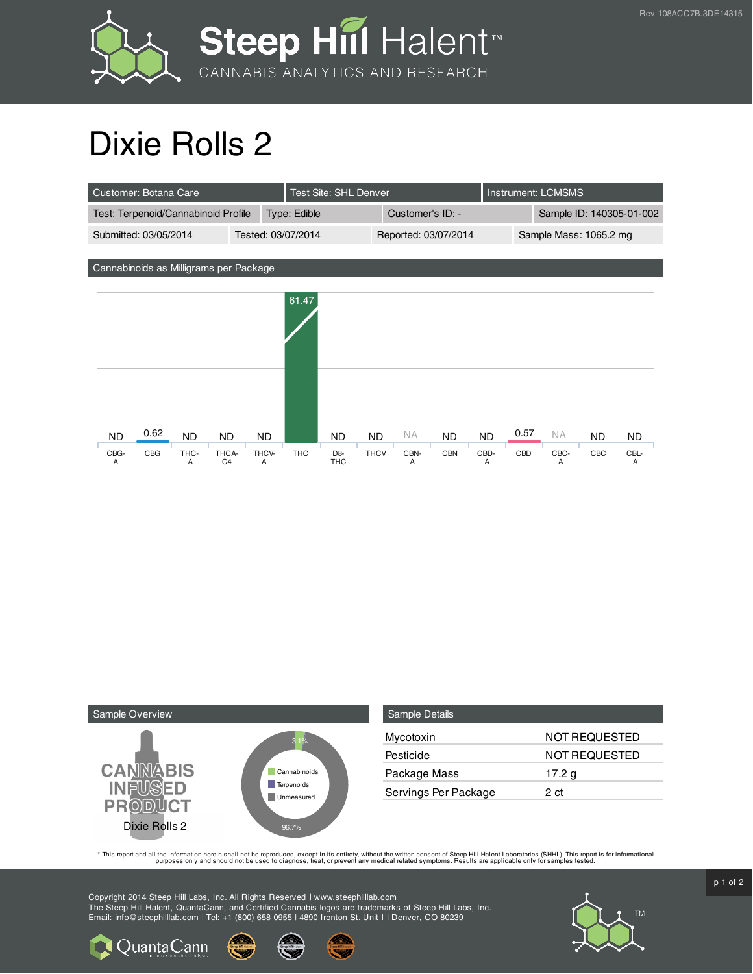

## Dixie Rolls 2

| Customer: Botana Care                       |            |           |                |              | <b>Test Site: SHL Denver</b> |                      |                  |      |                        |           | <b>Instrument: LCMSMS</b> |           |     |           |
|---------------------------------------------|------------|-----------|----------------|--------------|------------------------------|----------------------|------------------|------|------------------------|-----------|---------------------------|-----------|-----|-----------|
| Test: Terpenoid/Cannabinoid Profile         |            |           |                | Type: Edible |                              |                      | Customer's ID: - |      |                        |           | Sample ID: 140305-01-002  |           |     |           |
| Submitted: 03/05/2014<br>Tested: 03/07/2014 |            |           |                |              |                              | Reported: 03/07/2014 |                  |      | Sample Mass: 1065.2 mg |           |                           |           |     |           |
|                                             |            |           |                |              |                              |                      |                  |      |                        |           |                           |           |     |           |
| Cannabinoids as Milligrams per Package      |            |           |                |              |                              |                      |                  |      |                        |           |                           |           |     |           |
|                                             |            |           |                |              | 61.47                        |                      |                  |      |                        |           |                           |           |     |           |
| <b>ND</b>                                   | 0.62       | <b>ND</b> | <b>ND</b>      | <b>ND</b>    |                              | <b>ND</b>            | <b>ND</b>        | NA.  | <b>ND</b>              | <b>ND</b> | 0.57                      | <b>NA</b> | ND. | <b>ND</b> |
| CBG-                                        | <b>CBG</b> | THC-      | THCA-          | THCV-        | <b>THC</b>                   | D <sub>8</sub>       | <b>THCV</b>      | CBN- | <b>CBN</b>             | CBD-      | CBD                       | CBC-      | CBC | CBL-      |
| A                                           |            | A         | C <sub>4</sub> | A            |                              | <b>THC</b>           |                  | A    |                        | A         |                           | A         |     | A         |



| <b>Sample Details</b> |                      |
|-----------------------|----------------------|
| Mycotoxin             | NOT REQUESTED        |
| Pesticide             | <b>NOT REQUESTED</b> |
| Package Mass          | 17.2 g               |
| Servings Per Package  | 2 ct                 |

This report and all the information herein shall not be reporduced, except in its entirety, without the written consent of Steep Hill Halent Laboratories (SHHL). This report is for informational all the instance, treat, or

Copyright 2014 Steep Hill Labs, Inc. All Rights Reserved | www.steephilllab.com The Steep Hill Halent, QuantaCann, and Certified Cannabis logos are trademarks of Steep Hill Labs, Inc. Email: info@steephilllab.com | Tel: +1 (800) 658 0955 | 4890 Ironton St. Unit I | Denver, CO 80239



 $p$  1 of 2

Quanta Cann